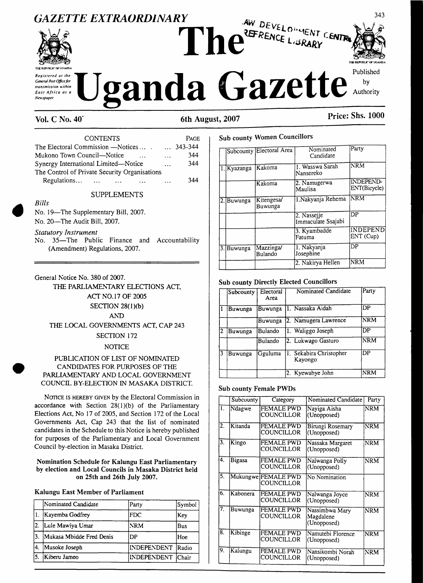



**TÏC REPUBLICOF UGANDA** Published

343

# **Vol. <sup>C</sup> No. 40' 6th August, <sup>2007</sup> Price: Shs. <sup>1000</sup>**

| <b>CONTENTS</b>                                 |           | <b>PAGE</b>      |
|-------------------------------------------------|-----------|------------------|
| The Electoral Commission —Notices               |           | $\ldots$ 343-344 |
| Mukono Town Council—Notice                      | $\cdots$  | 344              |
| Synergy International Limited-Notice            | $\ddotsc$ | 344              |
| The Control of Private Security Organisations   |           |                  |
| Regulations<br>$\sim$ $\sim$ $\sim$<br>$\cdots$ |           | 344              |

#### SUPPLEMENTS

No. 19—The Supplementary Bill, 2007. No. 20—The Audit Bill, 2007.

*Statutory Instrument*

*Bills*

No. 35—The Public Finance and Accountability (Amendment) Regulations, 2007.

General Notice No. 380 of 2007. THE PARLIAMENTARY ELECTIONS ACT, ACT NO. 17 OF 2005 SECTION 28(1 )(b) AND THE LOCAL GOVERNMENTS ACT, CAP 243 SECTION 172 **NOTICE** 

#### PUBLICATION OF LIST OF NOMINATED CANDIDATES FOR PURPOSES OF THE PARLIAMENTARY AND LOCAL GOVERNMENT COUNCIL BY-ELECTION IN MASAKA DISTRICT.

NOTICE IS HEREBY GIVEN by the Electoral Commission in accordance with Section  $28(1)(b)$  of the Parliamentary Elections Act, No 17 of 2005, and Section 172 of the Local Governments Act, Cap 243 that the list of nominated candidates in the Schedule to this Notice is hereby published for purposes of the Parliamentary and Local Government Council by-election in Masaka District.

#### **Nomination Schedule for Kalungu East Parliamentary by election and Local Councils in Masaka District held on 25th and 26th July 2007.**

#### **Kalungu East Member of Parliament**

|     | Nominated Candidate      | Party              | Symbol     |
|-----|--------------------------|--------------------|------------|
|     | Kayemba Godfrey          | <b>FDC</b>         | Key        |
| 2.  | Lule Mawiya Umar         | <b>NRM</b>         | <b>Bus</b> |
| 13. | Mukasa Mbidde Fred Denis | DP                 | Hoe        |
| 14. | Musoke Joseph            | <b>INDEPENDENT</b> | Radio      |
| 15. | Kiberu Jameo             | INDEPENDENT        | lChair     |

# **Sub county Women Councillors**

|     |             | Subcounty Electoral Area | Nominated<br>Candidate            | Party                            |
|-----|-------------|--------------------------|-----------------------------------|----------------------------------|
|     | 1. Kyazanga | Kakoma                   | 1. Wasswa Sarah<br>Nansereko      | <b>NRM</b>                       |
|     |             | Kakoma                   | 2. Namugerwa<br>Maulisa           | <b>INDEPEND-</b><br>ENT(Bicycle) |
|     | 2. Buwunga  | Kitengesa/<br>Buwunga    | 1.Nakyanja Rehema                 | <b>INRM</b>                      |
|     |             |                          | 2. Nassejje<br>Immaculate Ssajabi | DP                               |
|     |             |                          | 3. Kyambadde<br>Fatuma            | <b>INDEPEND</b><br>ENT (Cup)     |
| 3.1 | Buwunga     | Mazzinga/<br>Bulando     | 1. Nakyanja<br>Josephine          | $\overline{DP}$                  |
|     |             |                          | 2. Nakirya Hellen                 | <b>NRM</b>                       |

#### **Sub county Directly Elected Councillors**

|    | Subcounty | Electoral<br>Area | Nominated Candidate                | Party      |
|----|-----------|-------------------|------------------------------------|------------|
|    | Buwunga   | Buwunga           | 1. Nassaka Aidah                   | DP         |
|    |           | Buwunga           | 2. Namugera Lawrence               | <b>NRM</b> |
| '2 | Buwunga   | Bulando           | 1. Waliggo Joseph                  | DP         |
|    |           | Bulando           | 2. Lukwago Gasturo                 | <b>NRM</b> |
| 3  | Buwunga   | Gguluma           | 1. Sekabira Christopher<br>Kayongo | DP         |
|    |           |                   | 2. Kyewabye John                   | <b>NRM</b> |

#### **Sub county Female PWDs**

|    | Subcounty | Category                          | Nominated Candidate                        | Party                   |
|----|-----------|-----------------------------------|--------------------------------------------|-------------------------|
| 1. | Ndagwe    | <b>FEMALE PWD</b><br>COUNCILLOR   | Nayiga Aisha<br>(Unopposed)                | <b>NRM</b>              |
| 2. | Kitanda   | <b>FEMALE PWD</b><br>COUNCILLOR   | Birungi Rosemary<br>(Unopposed)            | <b>NRM</b>              |
| 3. | Kingo     | <b>FEMALE PWD</b><br>COUNCILLOR   | Nassaka Margaret<br>(Unopposed)            | <b>NRM</b>              |
| 4. | Bigasa    | <b>FEMALE PWD</b><br>COUNCILLOR   | Nalwanga Polly<br>(Unopposed)              | <b>NRM</b>              |
| 5. |           | Mukungwe FEMALE PWD<br>COUNCILLOR | No Nomination                              |                         |
| 6. | Kabonera  | FEMALE PWD<br>COUNCILLOR          | Nalwanga Joyce<br>(Unopposed)              | <b>NRM</b>              |
| 7. | Buwunga   | FEMALE PWD<br>COUNCILLOR          | Nassimbwa Mary<br>Magdalene<br>(Unopposed) | <b>NRM</b>              |
| 8. | Kibinge   | <b>FEMALE PWD</b><br>COUNCILLOR   | Namutebi Florence<br>(Unopposed)           | $\overline{\text{NRM}}$ |
| 9. | Kalungu   | FEMALE PWD<br>COUNCILLOR          | Nansikombi Norah<br>(Unopposed)            | <b>NRM</b>              |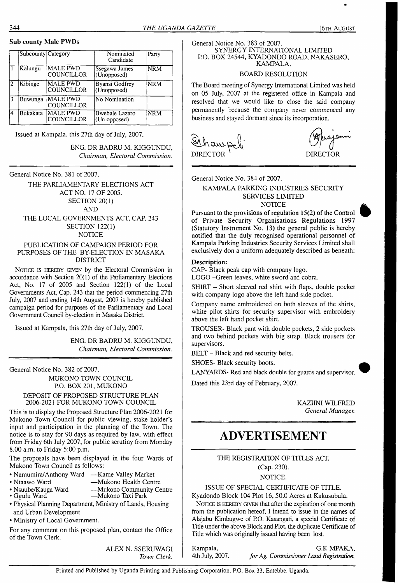#### **Sub county Male PWDs**

|    | Subcounty Category |                                      | Nominated<br>Candidate               | Party      |
|----|--------------------|--------------------------------------|--------------------------------------|------------|
|    | Kalungu            | <b>MALE PWD</b><br><b>COUNCILLOR</b> | Ssegawa James<br>(Unopposed)         | <b>NRM</b> |
| 2  | Kibinge            | <b>MALE PWD</b><br>COUNCILLOR        | <b>Byansi Godfrey</b><br>(Unopposed) | <b>NRM</b> |
| 13 | Buwunga            | <b>MALE PWD</b><br>COUNCILLOR        | No Nomination                        |            |
| 4  | Bukakata           | MALE PWD<br>COUNCILLOR               | Bwebale Lazaro<br>$(Un$ opposed)     | <b>NRM</b> |

Issued at Kampala, this 27th day of July, 2007.

ENG. DR BADRU M. KIGGUNDU, *Chairman, Electoral Commission.*

General Notice No. 381 of 2007.

THE PARLIAMENTARY ELECTIONS ACT ACT NO. 17 OF 2005. SECTION 20(1) AND THE LOCAL GOVERNMENTS ACT, CAP. 243 SECTION 122(1) **NOTICE** 

#### PUBLICATION OF CAMPAIGN PERIOD FOR PURPOSES OF THE BY-ELECTION IN MASAKA DISTRICT

NOTICE IS HEREBY GIVEN by the Electoral Commission in accordance with Section 20(1) of the Parliamentary Elections Act, No. 17 of 2005 and Section 122(1) of the Local Governments Act, Cap. 243 that the period commencing 27th July, 2007 and ending 14th August, 2007 is hereby published campaign period for purposes of the Parliamentary and Local Government Council by-election in Masaka District.

Issued at Kampala, this 27th day of July, 2007.

ENG. DR BADRU M. KIGGUNDU, *Chairman, Electoral Commission.*

General Notice No. 382 of 2007.

# MUKONO TOWN COUNCIL P.O. BOX 201, MUKONO

#### DEPOSIT OF PROPOSED STRUCTURE PLAN 2006-2021 FOR MUKONO TOWN COUNCIL

This is to display the Proposed Structure Plan 2006-2021 for Mukono Town Council for public viewing, stake holder's input and participation in the planning of the Town. The notice is to stay for 90 days as required by law, with effect from Friday 6th July 2007, for public scrutiny from Monday 8.00 a.m. to Friday 5:00 p.m.

The proposals have been displayed in the four Wards of Mukono Town Council as follows:

- Namumira/Anthony Ward Kame Valley Market<br>• Ntaawo Ward Mukono Health Cent
- 
- Ntaawo Ward —Mukono Health Centre • Nsuube/Kauga Ward —Mukono Community Centre -Mukono Taxi Park
- 
- Physical Planning Department, Ministry of Lands, Housing and Urban Development
- Ministry of Local Government.

For any comment on this proposed plan, contact the Office of the Town Clerk.

> ALEX N. SSERUWAGI *Town Clerk.*

General Notice No. 383 of 2007. SYNERGY INTERNATIONAL LIMITED P.O. BOX 24544, KYADONDO ROAD, NAKASERO,

KAMPALA.

# BOARD RESOLUTION

The Board meeting of Synergy International Limited was held on 05 July, 2007 at the registered office in Kampala and resolved that we would like to close the said company permanently because the company never commenced any business and stayed dormant since its incorporation.

DIRECTOR

General Notice No. 384 of 2007.

### KAMPALA PARKING INDUSTRIES SECURITY SERVICES LIMITED **NOTICE**

Pursuant to the provisions of regulation  $15(2)$  of the Control of Private Security Organisations Regulations 1997 (Statutory Instrument No. 13) the general public is hereby notified that the duly recognised operational personnel of Kampala Parking Industries Security Services Limited shall exclusively don a uniform adequately described as beneath:

#### **Description:**

CAP- Black peak cap with company logo. LOGO -Green leaves, white sword and cobra.

SHIRT - Short sleeved red shirt with flaps, double pocket with company logo above the left hand side pocket.

Company name embroidered on both sleeves of the shirts, white pilot shirts for security supervisor with embroidery above the left hand pocket shirt.

TROUSER- Black pant with double pockets, 2 side pockets and two behind pockets with big strap. Black trousers for supervisors.

BELT - Black and red security belts.

SHOES- Black security boots.

LANYARDS- Red and black double for guards and supervisor.

Dated this 23rd day of February, 2007.

KAZIINI WILFRED *General Manager.*

# **ADVERTISEMENT**

THE REGISTRATION OF TITLES ACT.

(Cap. 230).

NOTICE.

ISSUE OF SPECIAL CERTIFICATE OF TITLE.

Kyadondo Block 104 Plot 16, 50.0 Acres at Kakusubula. NOTICE IS HEREBY GIVEN that after the expiration of one month from the publication hereof, I intend to issue in the names of Alajabu Kimbugwe of P.O. Kasangati, a special Certificate of Title under the above Block and Plot, the duplicate Certificate of Title which was originally issued having been lost.

Kampala, G.K MPAKA. 4th July, 2007. *forAg. Commissioner Land Registration.*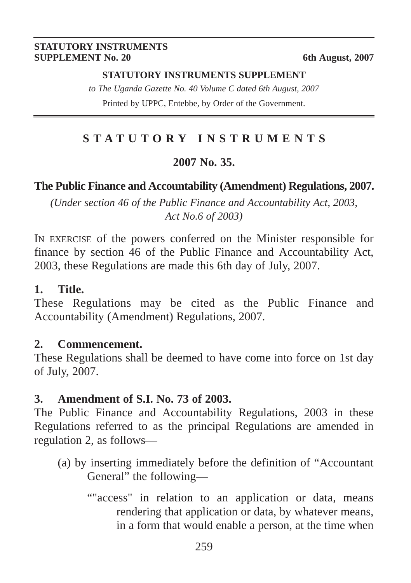#### **STATUTORY INSTRUMENTS SUPPLEMENT No. 20** 6th August, 2007

#### **STATUTORY INSTRUMENTS SUPPLEMENT**

*to The Uganda Gazette No. 40 Volume C dated 6th August, 2007* Printed by UPPC, Entebbe, by Order of the Government.

# **STATUTORY INSTRUMENTS**

## **2007 No. 35.**

# **The Public Finance and Accountability (Amendment) Regulations, 2007.**

*(Under section 46 of the Public Finance and Accountability Act, 2003, Act No.6 of 2003)*

IN EXERCISE of the powers conferred on the Minister responsible for finance by section 46 of the Public Finance and Accountability Act, 2003, these Regulations are made this 6th day of July, 2007.

# **1. Title.**

These Regulations may be cited as the Public Finance and Accountability (Amendment) Regulations, 2007.

### **2. Commencement.**

These Regulations shall be deemed to have come into force on 1st day of July, 2007.

# **3. Amendment of S.I. No. 73 of 2003.**

The Public Finance and Accountability Regulations, 2003 in these Regulations referred to as the principal Regulations are amended in regulation 2, as follows—

- (a) by inserting immediately before the definition of "Accountant General" the following—
	- ""access" in relation to an application or data, means rendering that application or data, by whatever means, in a form that would enable a person, at the time when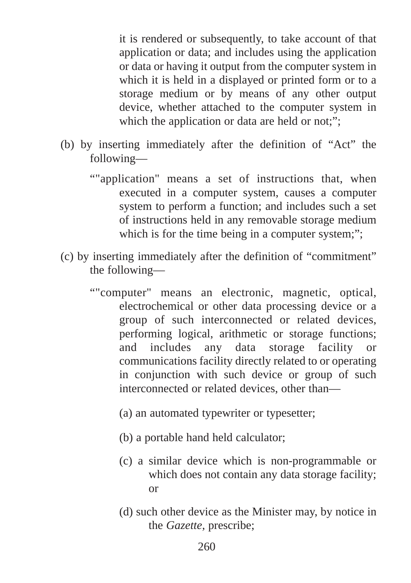it is rendered or subsequently, to take account of that application or data; and includes using the application or data or having it output from the computer system in which it is held in a displayed or printed form or to a storage medium or by means of any other output device, whether attached to the computer system in which the application or data are held or not;";

- (b) by inserting immediately after the definition of "Act" the following—
	- ""application" means a set of instructions that, when executed in a computer system, causes a computer system to perform a function; and includes such a set of instructions held in any removable storage medium which is for the time being in a computer system;":
- (c) by inserting immediately after the definition of "commitment" the following—
	- ""computer" means an electronic, magnetic, optical, electrochemical or other data processing device or a group of such interconnected or related devices, performing logical, arithmetic or storage functions; and includes any data storage facility or communications facility directly related to or operating in conjunction with such device or group of such interconnected or related devices, other than—
		- (a) an automated typewriter or typesetter;
		- (b) a portable hand held calculator;
		- (c) a similar device which is non-programmable or which does not contain any data storage facility; or
		- (d) such other device as the Minister may, by notice in the *Gazette,* prescribe;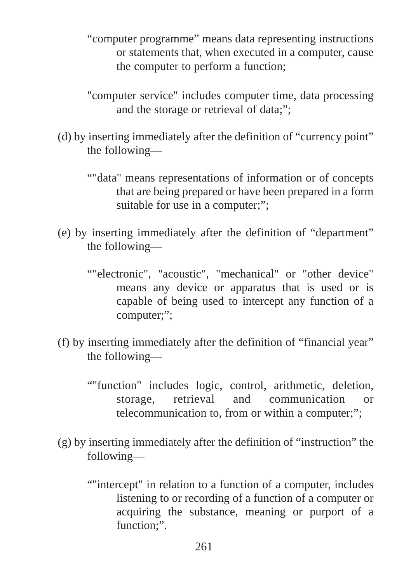- "computer programme" means data representing instructions or statements that, when executed in a computer, cause the computer to perform a function;
- "computer service" includes computer time, data processing and the storage or retrieval of data;";
- (d) by inserting immediately after the definition of "currency point" the following—
	- ""data" means representations of information or of concepts that are being prepared or have been prepared in a form suitable for use in a computer;";
- (e) by inserting immediately after the definition of "department" the following—
	- ""electronic", "acoustic", "mechanical" or "other device" means any device or apparatus that is used or is capable of being used to intercept any function of a computer;";
- (f) by inserting immediately after the definition of "financial year" the following—
	- ""function" includes logic, control, arithmetic, deletion, storage, retrieval and communication or telecommunication to, from or within a computer;";
- (g) by inserting immediately after the definition of "instruction" the following—
	- ""intercept" in relation to a function of a computer, includes listening to or recording of a function of a computer or acquiring the substance, meaning or purport of a function:".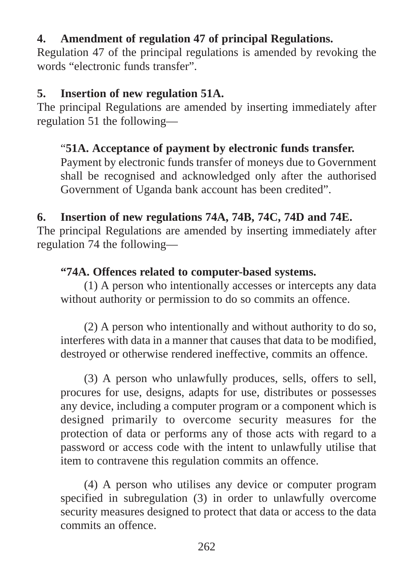# **4. Amendment of regulation 47 of principal Regulations.**

Regulation 47 of the principal regulations is amended by revoking the words "electronic funds transfer".

# **5. Insertion of new regulation 51A.**

The principal Regulations are amended by inserting immediately after regulation 51 the following—

# "**51A. Acceptance of payment by electronic funds transfer.**

Payment by electronic funds transfer of moneys due to Government shall be recognised and acknowledged only after the authorised Government of Uganda bank account has been credited".

# **6. Insertion of new regulations 74A, 74B, 74C, 74D and 74E.**

The principal Regulations are amended by inserting immediately after regulation 74 the following—

# **"74A. Offences related to computer-based systems.**

(1) A person who intentionally accesses or intercepts any data without authority or permission to do so commits an offence.

(2) A person who intentionally and without authority to do so, interferes with data in a manner that causes that data to be modified, destroyed or otherwise rendered ineffective, commits an offence.

(3) A person who unlawfully produces, sells, offers to sell, procures for use, designs, adapts for use, distributes or possesses any device, including a computer program or a component which is designed primarily to overcome security measures for the protection of data or performs any of those acts with regard to a password or access code with the intent to unlawfully utilise that item to contravene this regulation commits an offence.

(4) A person who utilises any device or computer program specified in subregulation (3) in order to unlawfully overcome security measures designed to protect that data or access to the data commits an offence.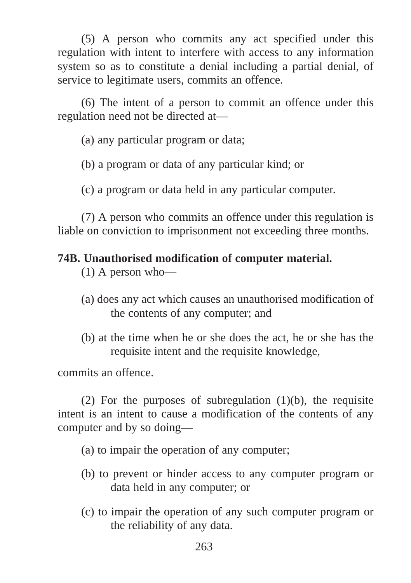(5) A person who commits any act specified under this regulation with intent to interfere with access to any information system so as to constitute a denial including a partial denial, of service to legitimate users, commits an offence.

(6) The intent of a person to commit an offence under this regulation need not be directed at—

(a) any particular program or data;

(b) a program or data of any particular kind; or

(c) a program or data held in any particular computer.

(7) A person who commits an offence under this regulation is liable on conviction to imprisonment not exceeding three months.

# **74B. Unauthorised modification of computer material.**

(1) A person who—

- (a) does any act which causes an unauthorised modification of the contents of any computer; and
- (b) at the time when he or she does the act, he or she has the requisite intent and the requisite knowledge,

commits an offence.

(2) For the purposes of subregulation  $(1)(b)$ , the requisite intent is an intent to cause a modification of the contents of any computer and by so doing—

- (a) to impair the operation of any computer;
- (b) to prevent or hinder access to any computer program or data held in any computer; or
- (c) to impair the operation of any such computer program or the reliability of any data.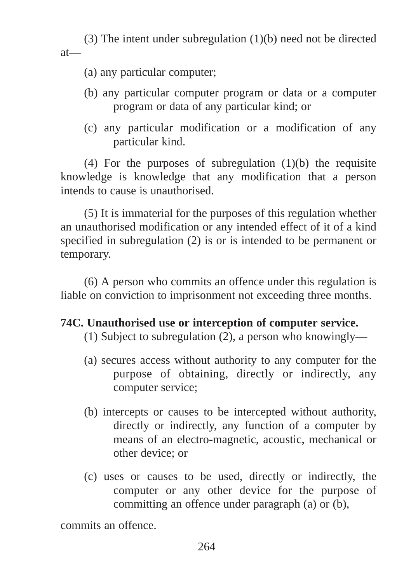(3) The intent under subregulation (1)(b) need not be directed at—

- (a) any particular computer;
- (b) any particular computer program or data or a computer program or data of any particular kind; or
- (c) any particular modification or a modification of any particular kind.

(4) For the purposes of subregulation (1)(b) the requisite knowledge is knowledge that any modification that a person intends to cause is unauthorised.

(5) It is immaterial for the purposes of this regulation whether an unauthorised modification or any intended effect of it of a kind specified in subregulation (2) is or is intended to be permanent or temporary.

(6) A person who commits an offence under this regulation is liable on conviction to imprisonment not exceeding three months.

# **74C. Unauthorised use or interception of computer service.**

(1) Subject to subregulation (2), a person who knowingly—

- (a) secures access without authority to any computer for the purpose of obtaining, directly or indirectly, any computer service;
- (b) intercepts or causes to be intercepted without authority, directly or indirectly, any function of a computer by means of an electro-magnetic, acoustic, mechanical or other device; or
- (c) uses or causes to be used, directly or indirectly, the computer or any other device for the purpose of committing an offence under paragraph (a) or (b),

commits an offence.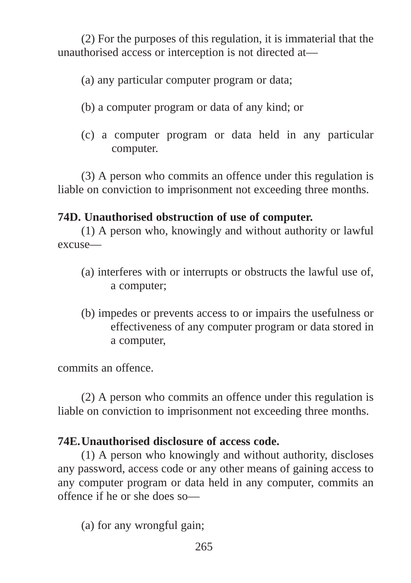(2) For the purposes of this regulation, it is immaterial that the unauthorised access or interception is not directed at—

(a) any particular computer program or data;

- (b) a computer program or data of any kind; or
- (c) a computer program or data held in any particular computer.

(3) A person who commits an offence under this regulation is liable on conviction to imprisonment not exceeding three months.

# **74D. Unauthorised obstruction of use of computer.**

(1) A person who, knowingly and without authority or lawful excuse—

- (a) interferes with or interrupts or obstructs the lawful use of, a computer;
- (b) impedes or prevents access to or impairs the usefulness or effectiveness of any computer program or data stored in a computer,

commits an offence.

(2) A person who commits an offence under this regulation is liable on conviction to imprisonment not exceeding three months.

# **74E.Unauthorised disclosure of access code.**

(1) A person who knowingly and without authority, discloses any password, access code or any other means of gaining access to any computer program or data held in any computer, commits an offence if he or she does so—

(a) for any wrongful gain;